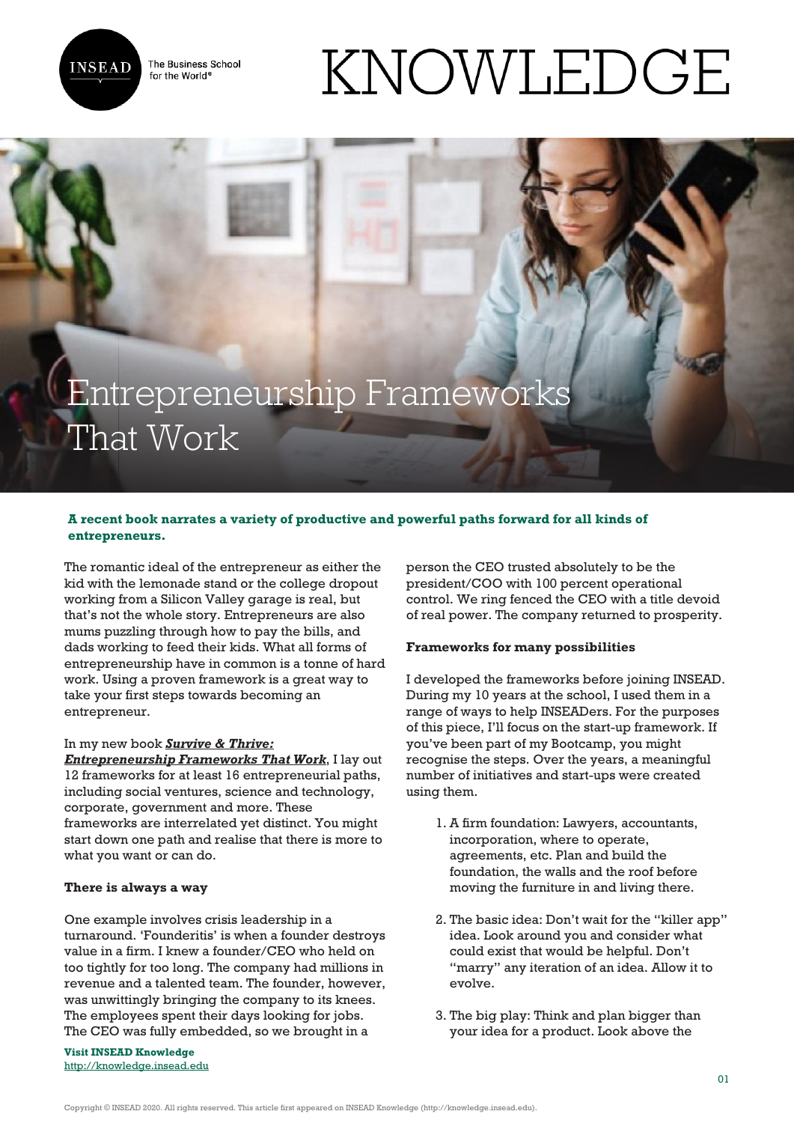

The Business School for the World<sup>®</sup>

# KNOWLEDGE

# Entrepreneurship Frameworks That Work

## **A recent book narrates a variety of productive and powerful paths forward for all kinds of entrepreneurs.**

The romantic ideal of the entrepreneur as either the kid with the lemonade stand or the college dropout working from a Silicon Valley garage is real, but that's not the whole story. Entrepreneurs are also mums puzzling through how to pay the bills, and dads working to feed their kids. What all forms of entrepreneurship have in common is a tonne of hard work. Using a proven framework is a great way to take your first steps towards becoming an entrepreneur.

#### In my new book *Survive & Thrive:*

*Entrepreneurship Frameworks That Work*, I lay out 12 frameworks for at least 16 entrepreneurial paths, including social ventures, science and technology, corporate, government and more. These frameworks are interrelated yet distinct. You might start down one path and realise that there is more to what you want or can do.

### **There is always a way**

One example involves crisis leadership in a turnaround. 'Founderitis' is when a founder destroys value in a firm. I knew a founder/CEO who held on too tightly for too long. The company had millions in revenue and a talented team. The founder, however, was unwittingly bringing the company to its knees. The employees spent their days looking for jobs. The CEO was fully embedded, so we brought in a

**Visit INSEAD Knowledge** http://knowledge.insead.edu person the CEO trusted absolutely to be the president/COO with 100 percent operational control. We ring fenced the CEO with a title devoid of real power. The company returned to prosperity.

#### **Frameworks for many possibilities**

I developed the frameworks before joining INSEAD. During my 10 years at the school, I used them in a range of ways to help INSEADers. For the purposes of this piece, I'll focus on the start-up framework. If you've been part of my Bootcamp, you might recognise the steps. Over the years, a meaningful number of initiatives and start-ups were created using them.

- 1. A firm foundation: Lawyers, accountants, incorporation, where to operate, agreements, etc. Plan and build the foundation, the walls and the roof before moving the furniture in and living there.
- 2. The basic idea: Don't wait for the "killer app" idea. Look around you and consider what could exist that would be helpful. Don't "marry" any iteration of an idea. Allow it to evolve.
- 3. The big play: Think and plan bigger than your idea for a product. Look above the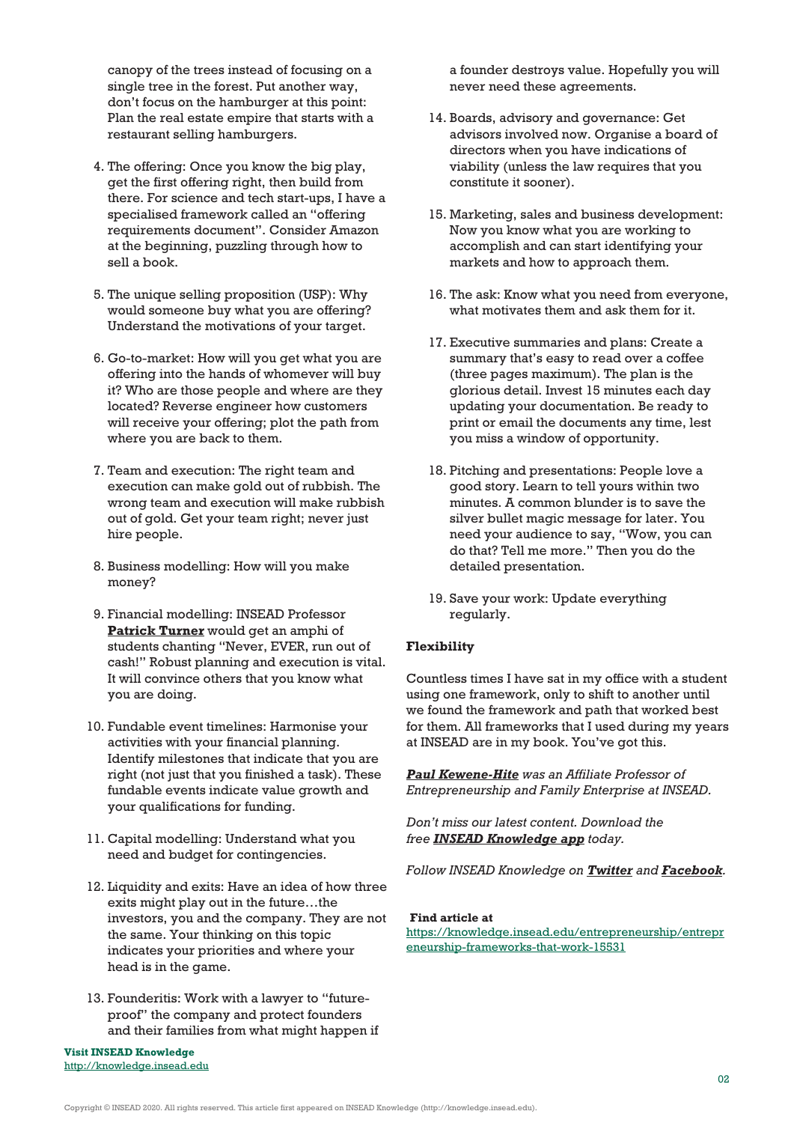canopy of the trees instead of focusing on a single tree in the forest. Put another way, don't focus on the hamburger at this point: Plan the real estate empire that starts with a restaurant selling hamburgers.

- 4. The offering: Once you know the big play, get the first offering right, then build from there. For science and tech start-ups, I have a specialised framework called an "offering requirements document". Consider Amazon at the beginning, puzzling through how to sell a book.
- 5. The unique selling proposition (USP): Why would someone buy what you are offering? Understand the motivations of your target.
- 6. Go-to-market: How will you get what you are offering into the hands of whomever will buy it? Who are those people and where are they located? Reverse engineer how customers will receive your offering; plot the path from where you are back to them.
- 7. Team and execution: The right team and execution can make gold out of rubbish. The wrong team and execution will make rubbish out of gold. Get your team right; never just hire people.
- 8. Business modelling: How will you make money?
- 9. Financial modelling: INSEAD Professor **Patrick Turner** would get an amphi of students chanting "Never, EVER, run out of cash!" Robust planning and execution is vital. It will convince others that you know what you are doing.
- 10. Fundable event timelines: Harmonise your activities with your financial planning. Identify milestones that indicate that you are right (not just that you finished a task). These fundable events indicate value growth and your qualifications for funding.
- 11. Capital modelling: Understand what you need and budget for contingencies.
- 12. Liquidity and exits: Have an idea of how three exits might play out in the future…the investors, you and the company. They are not the same. Your thinking on this topic indicates your priorities and where your head is in the game.
- 13. Founderitis: Work with a lawyer to "futureproof" the company and protect founders and their families from what might happen if

**Visit INSEAD Knowledge** http://knowledge.insead.edu

a founder destroys value. Hopefully you will never need these agreements.

- 14. Boards, advisory and governance: Get advisors involved now. Organise a board of directors when you have indications of viability (unless the law requires that you constitute it sooner).
- 15. Marketing, sales and business development: Now you know what you are working to accomplish and can start identifying your markets and how to approach them.
- 16. The ask: Know what you need from everyone, what motivates them and ask them for it.
- 17. Executive summaries and plans: Create a summary that's easy to read over a coffee (three pages maximum). The plan is the glorious detail. Invest 15 minutes each day updating your documentation. Be ready to print or email the documents any time, lest you miss a window of opportunity.
- 18. Pitching and presentations: People love a good story. Learn to tell yours within two minutes. A common blunder is to save the silver bullet magic message for later. You need your audience to say, "Wow, you can do that? Tell me more." Then you do the detailed presentation.
- 19. Save your work: Update everything regularly.

#### **Flexibility**

Countless times I have sat in my office with a student using one framework, only to shift to another until we found the framework and path that worked best for them. All frameworks that I used during my years at INSEAD are in my book. You've got this.

*Paul Kewene-Hite was an Affiliate Professor of Entrepreneurship and Family Enterprise at INSEAD.*

*Don't miss our latest content. Download the free INSEAD Knowledge app today.*

*Follow INSEAD Knowledge on Twitter and Facebook.*

#### **Find article at**

https://knowledge.insead.edu/entrepreneurship/entrepr eneurship-frameworks-that-work-15531